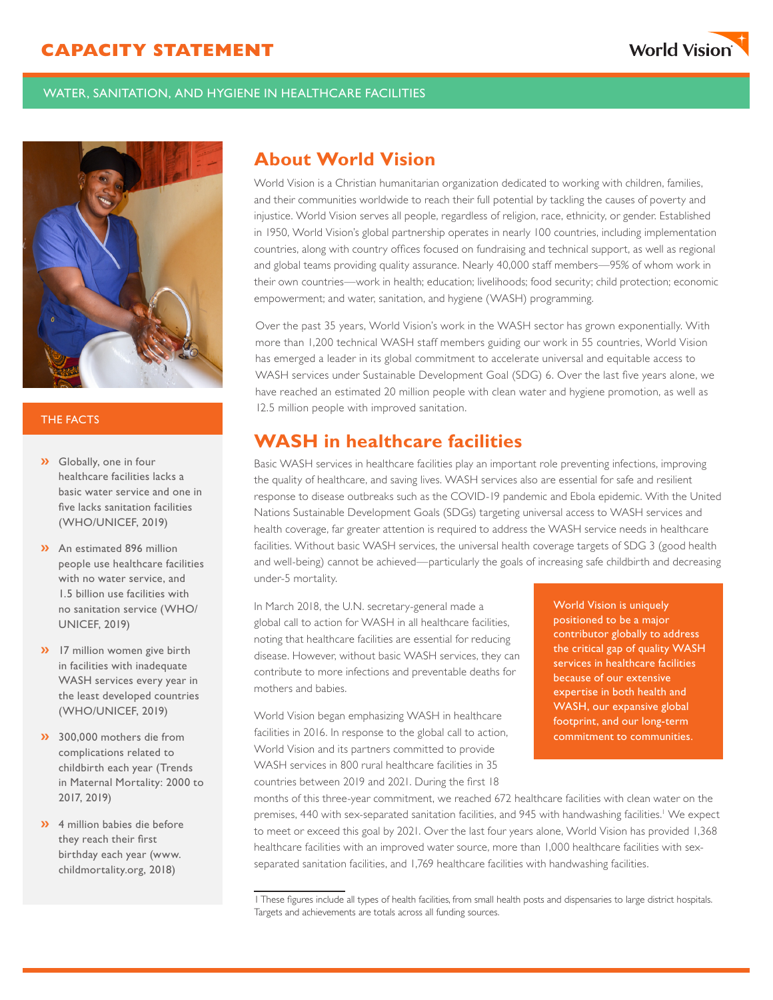

### WATER, SANITATION, AND HYGIENE IN HEALTHCARE FACILITIES



#### THE FACTS

- **»** Globally, one in four healthcare facilities lacks a basic water service and one in five lacks sanitation facilities (WHO/UNICEF, 2019)
- **»** An estimated 896 million people use healthcare facilities with no water service, and 1.5 billion use facilities with no sanitation service (WHO/ UNICEF, 2019)
- **»** 17 million women give birth in facilities with inadequate WASH services every year in the least developed countries (WHO/UNICEF, 2019)
- **»** 300,000 mothers die from complications related to childbirth each year (Trends in Maternal Mortality: 2000 to 2017, 2019)
- **»** 4 million babies die before they reach their first birthday each year (www. childmortality.org, 2018)

# **About World Vision**

World Vision is a Christian humanitarian organization dedicated to working with children, families, and their communities worldwide to reach their full potential by tackling the causes of poverty and injustice. World Vision serves all people, regardless of religion, race, ethnicity, or gender. Established in 1950, World Vision's global partnership operates in nearly 100 countries, including implementation countries, along with country offices focused on fundraising and technical support, as well as regional and global teams providing quality assurance. Nearly 40,000 staff members—95% of whom work in their own countries—work in health; education; livelihoods; food security; child protection; economic empowerment; and water, sanitation, and hygiene (WASH) programming.

Over the past 35 years, World Vision's work in the WASH sector has grown exponentially. With more than 1,200 technical WASH staff members guiding our work in 55 countries, World Vision has emerged a leader in its global commitment to accelerate universal and equitable access to WASH services under Sustainable Development Goal (SDG) 6. Over the last five years alone, we have reached an estimated 20 million people with clean water and hygiene promotion, as well as 12.5 million people with improved sanitation.

# **WASH in healthcare facilities**

Basic WASH services in healthcare facilities play an important role preventing infections, improving the quality of healthcare, and saving lives. WASH services also are essential for safe and resilient response to disease outbreaks such as the COVID-19 pandemic and Ebola epidemic. With the United Nations Sustainable Development Goals (SDGs) targeting universal access to WASH services and health coverage, far greater attention is required to address the WASH service needs in healthcare facilities. Without basic WASH services, the universal health coverage targets of SDG 3 (good health and well-being) cannot be achieved—particularly the goals of increasing safe childbirth and decreasing under-5 mortality.

In March 2018, the U.N. secretary-general made a global call to action for WASH in all healthcare facilities, noting that healthcare facilities are essential for reducing disease. However, without basic WASH services, they can contribute to more infections and preventable deaths for mothers and babies.

World Vision began emphasizing WASH in healthcare facilities in 2016. In response to the global call to action, World Vision and its partners committed to provide WASH services in 800 rural healthcare facilities in 35 countries between 2019 and 2021. During the first 18

World Vision is uniquely positioned to be a major contributor globally to address the critical gap of quality WASH services in healthcare facilities because of our extensive expertise in both health and WASH, our expansive global footprint, and our long-term commitment to communities.

months of this three-year commitment, we reached 672 healthcare facilities with clean water on the premises, 440 with sex-separated sanitation facilities, and 945 with handwashing facilities.<sup>1</sup> We expect to meet or exceed this goal by 2021. Over the last four years alone, World Vision has provided 1,368 healthcare facilities with an improved water source, more than 1,000 healthcare facilities with sexseparated sanitation facilities, and 1,769 healthcare facilities with handwashing facilities.

<sup>1</sup> These figures include all types of health facilities, from small health posts and dispensaries to large district hospitals. Targets and achievements are totals across all funding sources.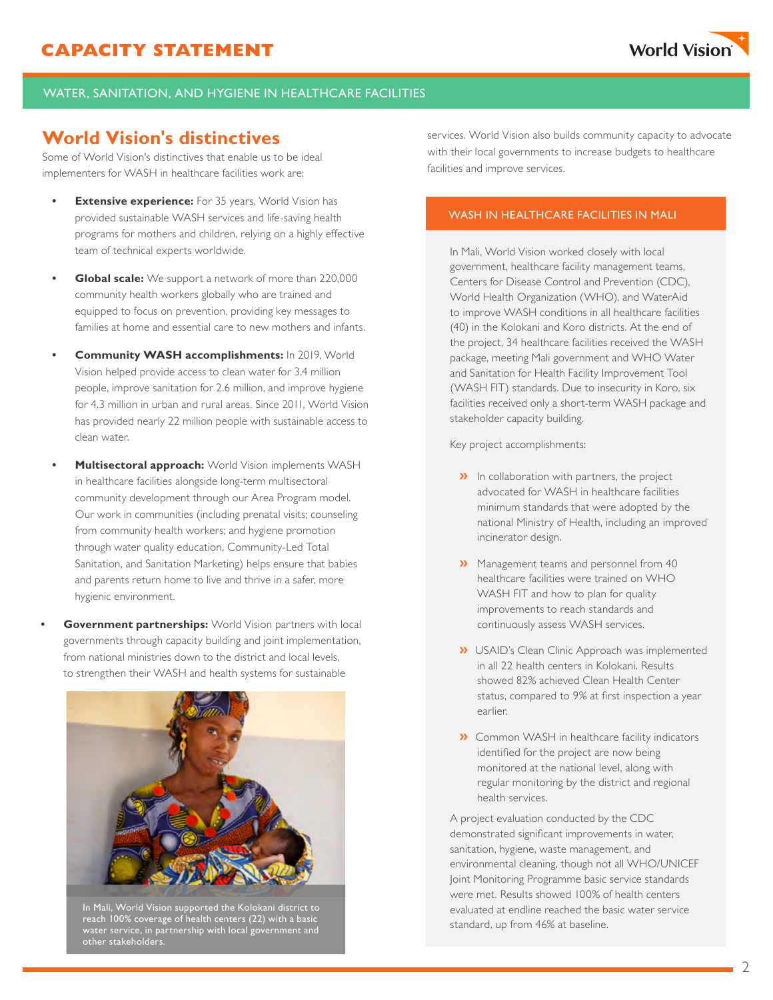### WATER, SANITATION, AND HYGIENE IN HEALTHCARE FACILITIES

# **World Vision's distinctives**

Some of World Vision's distinctives that enable us to be ideal implementers for WASH in healthcare facilities work are:

- **Extensive experience:** For 35 years, World Vision has provided sustainable WASH services and life-saving health programs for mothers and children, relying on a highly effective team of technical experts worldwide.
- **• Global scale:** We support a network of more than 220,000 community health workers globally who are trained and equipped to focus on prevention, providing key messages to families at home and essential care to new mothers and infants.
- **• Community WASH accomplishments:** In 2019, World Vision helped provide access to clean water for 3.4 million people, improve sanitation for 2.6 million, and improve hygiene for 4.3 million in urban and rural areas. Since 2011, World Vision has provided nearly 22 million people with sustainable access to clean water.
- **• Multisectoral approach:** World Vision implements WASH in healthcare facilities alongside long-term multisectoral community development through our Area Program model. Our work in communities (including prenatal visits; counseling from community health workers; and hygiene promotion through water quality education, Community-Led Total Sanitation, and Sanitation Marketing) helps ensure that babies and parents return home to live and thrive in a safer, more hygienic environment.
- **• Government partnerships:** World Vision partners with local governments through capacity building and joint implementation, from national ministries down to the district and local levels, to strengthen their WASH and health systems for sustainable



In Mali, World Vision supported the Kolokani district to reach 100% coverage of health centers (22) with a basic water service, in partnership with local government and other stakeholders.

services. World Vision also builds community capacity to advocate with their local governments to increase budgets to healthcare facilities and improve services.

### WASH IN HEALTHCARE FACILITIES IN MALI

In Mali, World Vision worked closely with local government, healthcare facility management teams, Centers for Disease Control and Prevention (CDC), World Health Organization (WHO), and WaterAid to improve WASH conditions in all healthcare facilities (40) in the Kolokani and Koro districts. At the end of the project, 34 healthcare facilities received the WASH package, meeting Mali government and WHO Water and Sanitation for Health Facility Improvement Tool (WASH FIT) standards. Due to insecurity in Koro, six facilities received only a short-term WASH package and stakeholder capacity building.

Key project accomplishments:

- **»** In collaboration with partners, the project advocated for WASH in healthcare facilities minimum standards that were adopted by the national Ministry of Health, including an improved incinerator design.
- **»** Management teams and personnel from 40 healthcare facilities were trained on WHO WASH FIT and how to plan for quality improvements to reach standards and continuously assess WASH services.
- **CALLOUT INFO** status, compared to 9% at first inspection a year **»** USAID's Clean Clinic Approach was implemented in all 22 health centers in Kolokani. Results showed 82% achieved Clean Health Center earlier.
- **»** Common WASH in healthcare facility indicators identified for the project are now being monitored at the national level, along with regular monitoring by the district and regional health services.

A project evaluation conducted by the CDC demonstrated significant improvements in water, sanitation, hygiene, waste management, and environmental cleaning, though not all WHO/UNICEF Joint Monitoring Programme basic service standards were met. Results showed 100% of health centers evaluated at endline reached the basic water service standard, up from 46% at baseline.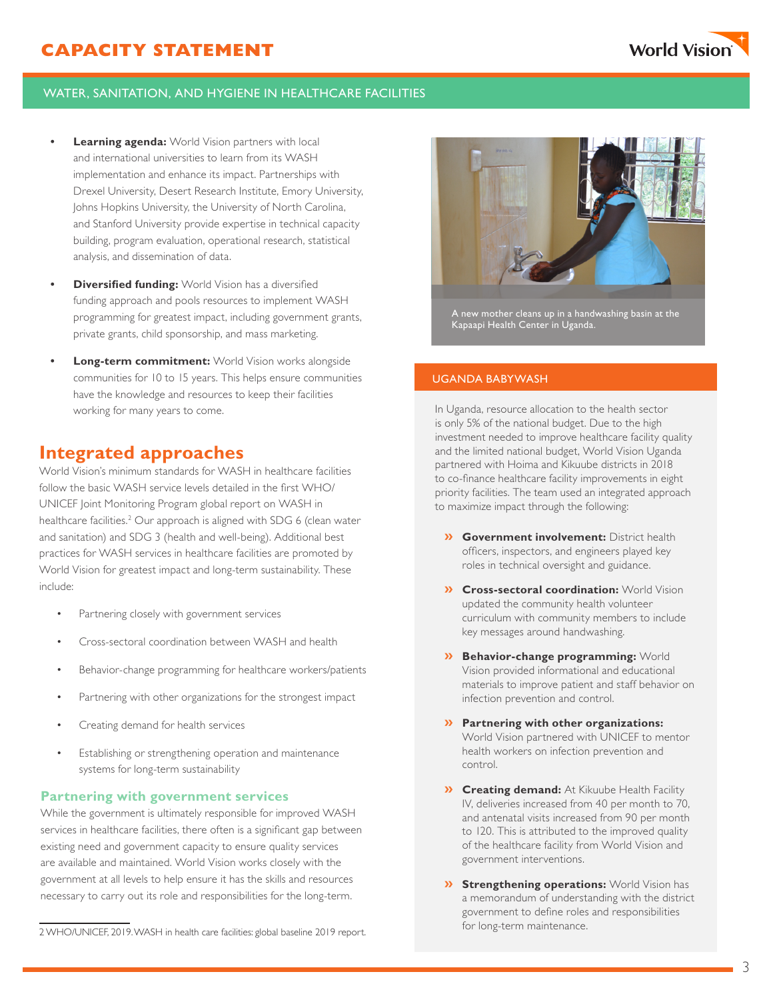### WATER, SANITATION, AND HYGIENE IN HEALTHCARE FACILITIES

- **• Learning agenda:** World Vision partners with local and international universities to learn from its WASH implementation and enhance its impact. Partnerships with Drexel University, Desert Research Institute, Emory University, Johns Hopkins University, the University of North Carolina, and Stanford University provide expertise in technical capacity building, program evaluation, operational research, statistical analysis, and dissemination of data.
- **• Diversified funding:** World Vision has a diversified funding approach and pools resources to implement WASH programming for greatest impact, including government grants, private grants, child sponsorship, and mass marketing.
- **• Long-term commitment:** World Vision works alongside communities for 10 to 15 years. This helps ensure communities have the knowledge and resources to keep their facilities working for many years to come.

## **Integrated approaches**

World Vision's minimum standards for WASH in healthcare facilities follow the basic WASH service levels detailed in the first WHO/ UNICEF Joint Monitoring Program global report on WASH in healthcare facilities.<sup>2</sup> Our approach is aligned with SDG 6 (clean water and sanitation) and SDG 3 (health and well-being). Additional best practices for WASH services in healthcare facilities are promoted by World Vision for greatest impact and long-term sustainability. These include:

- Partnering closely with government services
- Cross-sectoral coordination between WASH and health
- Behavior-change programming for healthcare workers/patients
- Partnering with other organizations for the strongest impact
- Creating demand for health services
- Establishing or strengthening operation and maintenance systems for long-term sustainability

#### **Partnering with government services**

While the government is ultimately responsible for improved WASH services in healthcare facilities, there often is a significant gap between existing need and government capacity to ensure quality services are available and maintained. World Vision works closely with the government at all levels to help ensure it has the skills and resources necessary to carry out its role and responsibilities for the long-term.

2 WHO/UNICEF, 2019. WASH in health care facilities: global baseline 2019 report.



A new mother cleans up in a handwashing basin at the Kapaapi Health Center in Uganda.

#### UGANDA BABYWASH

In Uganda, resource allocation to the health sector is only 5% of the national budget. Due to the high investment needed to improve healthcare facility quality and the limited national budget, World Vision Uganda partnered with Hoima and Kikuube districts in 2018 to co-finance healthcare facility improvements in eight priority facilities. The team used an integrated approach to maximize impact through the following:

- **» Government involvement:** District health officers, inspectors, and engineers played key roles in technical oversight and guidance.
- **» Cross-sectoral coordination:** World Vision updated the community health volunteer curriculum with community members to include key messages around handwashing.
- **» Behavior-change programming:** World Vision provided informational and educational materials to improve patient and staff behavior on infection prevention and control.
- **» Partnering with other organizations:**  World Vision partnered with UNICEF to mentor health workers on infection prevention and control.
- **» Creating demand:** At Kikuube Health Facility IV, deliveries increased from 40 per month to 70, and antenatal visits increased from 90 per month to 120. This is attributed to the improved quality of the healthcare facility from World Vision and government interventions.
- **» Strengthening operations:** World Vision has a memorandum of understanding with the district government to define roles and responsibilities for long-term maintenance.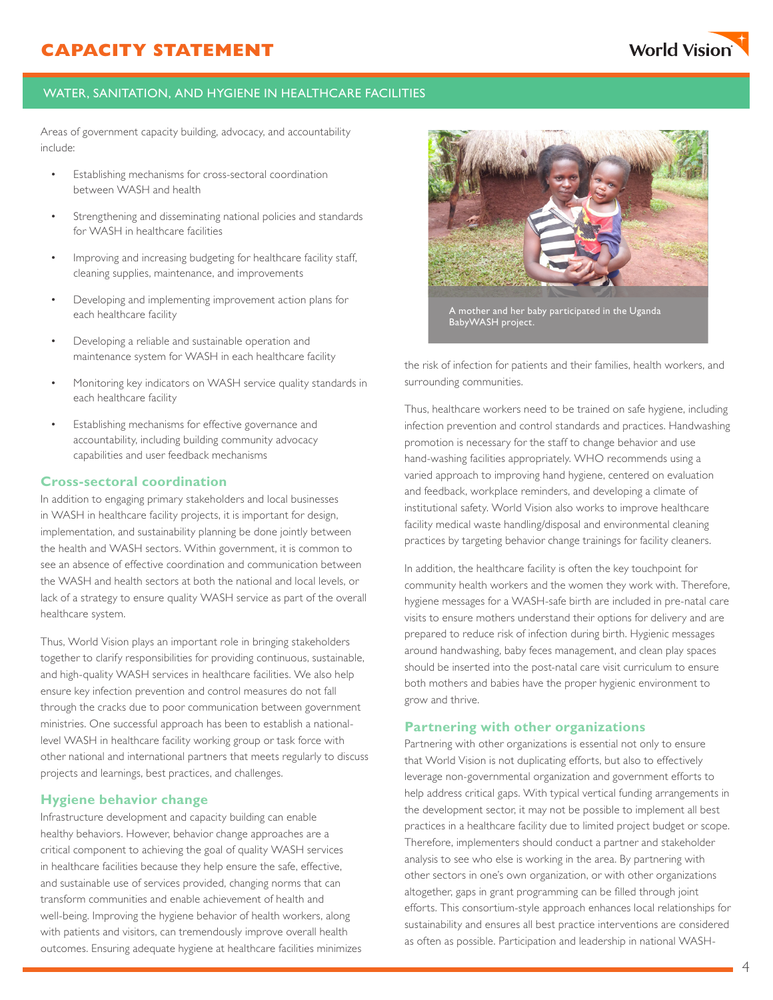

### WATER, SANITATION, AND HYGIENE IN HEALTHCARE FACILITIES

Areas of government capacity building, advocacy, and accountability include:

- Establishing mechanisms for cross-sectoral coordination between WASH and health
- Strengthening and disseminating national policies and standards for WASH in healthcare facilities
- Improving and increasing budgeting for healthcare facility staff, cleaning supplies, maintenance, and improvements
- Developing and implementing improvement action plans for each healthcare facility
- Developing a reliable and sustainable operation and maintenance system for WASH in each healthcare facility
- Monitoring key indicators on WASH service quality standards in each healthcare facility
- Establishing mechanisms for effective governance and accountability, including building community advocacy capabilities and user feedback mechanisms

#### **Cross-sectoral coordination**

In addition to engaging primary stakeholders and local businesses in WASH in healthcare facility projects, it is important for design, implementation, and sustainability planning be done jointly between the health and WASH sectors. Within government, it is common to see an absence of effective coordination and communication between the WASH and health sectors at both the national and local levels, or lack of a strategy to ensure quality WASH service as part of the overall healthcare system.

Thus, World Vision plays an important role in bringing stakeholders together to clarify responsibilities for providing continuous, sustainable, and high-quality WASH services in healthcare facilities. We also help ensure key infection prevention and control measures do not fall through the cracks due to poor communication between government ministries. One successful approach has been to establish a nationallevel WASH in healthcare facility working group or task force with other national and international partners that meets regularly to discuss projects and learnings, best practices, and challenges.

#### **Hygiene behavior change**

Infrastructure development and capacity building can enable healthy behaviors. However, behavior change approaches are a critical component to achieving the goal of quality WASH services in healthcare facilities because they help ensure the safe, effective, and sustainable use of services provided, changing norms that can transform communities and enable achievement of health and well-being. Improving the hygiene behavior of health workers, along with patients and visitors, can tremendously improve overall health outcomes. Ensuring adequate hygiene at healthcare facilities minimizes



A mother and her baby participated in the Uganda BabyWASH project.

the risk of infection for patients and their families, health workers, and surrounding communities.

Thus, healthcare workers need to be trained on safe hygiene, including infection prevention and control standards and practices. Handwashing promotion is necessary for the staff to change behavior and use hand-washing facilities appropriately. WHO recommends using a varied approach to improving hand hygiene, centered on evaluation and feedback, workplace reminders, and developing a climate of institutional safety. World Vision also works to improve healthcare facility medical waste handling/disposal and environmental cleaning practices by targeting behavior change trainings for facility cleaners.

In addition, the healthcare facility is often the key touchpoint for community health workers and the women they work with. Therefore, hygiene messages for a WASH-safe birth are included in pre-natal care visits to ensure mothers understand their options for delivery and are prepared to reduce risk of infection during birth. Hygienic messages around handwashing, baby feces management, and clean play spaces should be inserted into the post-natal care visit curriculum to ensure both mothers and babies have the proper hygienic environment to grow and thrive.

#### **Partnering with other organizations**

Partnering with other organizations is essential not only to ensure that World Vision is not duplicating efforts, but also to effectively leverage non-governmental organization and government efforts to help address critical gaps. With typical vertical funding arrangements in the development sector, it may not be possible to implement all best practices in a healthcare facility due to limited project budget or scope. Therefore, implementers should conduct a partner and stakeholder analysis to see who else is working in the area. By partnering with other sectors in one's own organization, or with other organizations altogether, gaps in grant programming can be filled through joint efforts. This consortium-style approach enhances local relationships for sustainability and ensures all best practice interventions are considered as often as possible. Participation and leadership in national WASH-